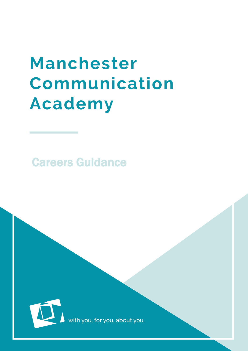# Manchester Communication **Academy**

Careers Guidance



with you, for you, about you.

 $\mathcal{M}_\mathrm{C}$  , and the case of the case of the case of the case of the case of the case of the case of the case of the case of the case of the case of the case of the case of the case of the case of the case of the case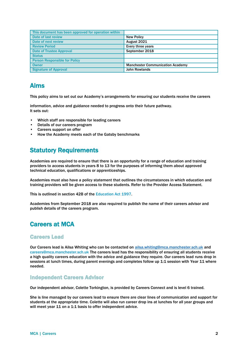| This document has been approved for operation within |                                         |
|------------------------------------------------------|-----------------------------------------|
| Date of last review                                  | <b>New Policy</b>                       |
| Date of next review                                  | August 2021                             |
| <b>Review Period</b>                                 | Every three years                       |
| <b>Date of Trustee Approval</b>                      | September 2018                          |
| <b>Status</b>                                        |                                         |
| <b>Person Responsible for Policy</b>                 |                                         |
| <b>Owner</b>                                         | <b>Manchester Communication Academy</b> |
| <b>Signature of Approval</b>                         | <b>John Rowlands</b>                    |

# Aims

This policy aims to set out our Academy's arrangements for ensuring our students receive the careers

information, advice and guidance needed to progress onto their future pathway. It sets out:

- Which staff are responsible for leading careers
- Details of our careers program
- Careers support on offer
- How the Academy meets each of the Gatsby benchmarks

# Statutory Requirements

Academies are required to ensure that there is an opportunity for a range of education and training providers to access students in years 8 to 13 for the purposes of informing them about approved technical education, qualifications or apprenticeships.

Academies must also have a policy statement that outlines the circumstances in which education and training providers will be given access to these students. Refer to the Provider Access Statement.

This is outlined in section 42B of the Education Act 1997.

Academies from September 2018 are also required to publish the name of their careers advisor and publish details of the careers program.

# Careers at MCA

#### Careers Lead

Our Careers lead is Ailsa Whiting who can be contacted on [ailsa.whiting@mca.manchester.sch.uk](mailto:ailsa.whiting@mca.manchester.sch.uk) and careers@mca.manchester.sch.uk The careers lead has the responsibility of ensuring all students receive a high quality careers education with the advice and guidance they require. Our careers lead runs drop in sessions at lunch times, during parent evenings and completes follow up 1:1 session with Year 11 where needed.

#### Independent Careers Advisor

Our independent advisor, Colette Torkington, is provided by Careers Connect and is level 6 trained.

She is line managed by our careers lead to ensure there are clear lines of communication and support for students at the appropriate time. Colette will also run career drop ins at lunches for all year groups and will meet year 11 on a 1:1 basis to offer independent advice.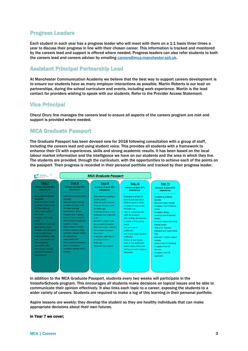## Progress Leaders

Each student in each year has a progress leader who will meet with them on a 1:1 basis three times a year to discuss their progress in line with their chosen career. This information is tracked and monitored by the careers lead and support is offered where needed. Progress leaders can also refer students to both the careers lead and careers advisor by emailing [careers@mca.manchester.sch.uk.](mailto:careers@mca.manchester.sch.uk)

## Assistant Principal Partnership Lead

At Manchester Communication Academy we believe that the best way to support careers development is to ensure our students have as many employer interactions as possible. Martin Roberts is our lead on partnerships, during the school curriculum and events, including work experience. Martin is the lead contact for providers wishing to speak with our students. Refer to the Provider Access Statement.

## Vice Principal

Cheryl Drury line manages the careers lead to ensure all aspects of the careers program are met and support is provided where needed.

## MCA Graduate Passport

The Graduate Passport has been devised new for 2018 following consultation with a group of staff, including the careers lead and using student voice. This provides all students with a framework to enhance their CV with experiences, skills and strong academic results. It has been based on the local labour market information and the intelligence we have on our students and the area in which they live. The students are provided, through the curriculum, with the opportunities to achieve each of the points on the passport. Their progress is recorded in their personal portfolio and tracked by their progress leader.



In addition to the MCA Graduate Passport, students every two weeks will participate in the VotesforSchools program. This encourages all students make decisions on topical issues and be able to communicate their opinion effectively. It also links each topic to a career, exposing the students to a wider variety of careers. Students are required to make a log of this learning in their personal portfolio.

Aspire lessons are weekly; they develop the student so they are healthy individuals that can make appropriate decisions about their own futures.

#### In Year 7 we cover;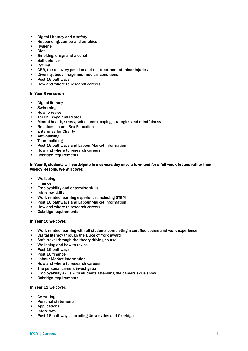- Digital Literacy and e-safety
- Rebounding, zumba and aerobics
- **Hygiene**
- Diet
- Smoking, drugs and alcohol
- Self defence
- **Cycling**
- CPR, the recovery position and the treatment of minor injuries
- Diversity, body image and medical conditions
- Post 16 pathways
- How and where to research careers

#### In Year 8 we cover;

- Digital literacy
- Swimming
- How to revise
- Tai Chi, Yoga and Pilates<br>• Mental health stress sell
- Mental health, stress, self-esteem, coping strategies and mindfulness
- Relationship and Sex Education
- Enterprise for Chairty
- Anti-bullying
- Team building
- Post 16 pathways and Labour Market Information
- How and where to research careers<br>• Oxbridge requirements
- Oxbridge requirements

#### In Year 9, students will participate in a careers day once a term and for a full week in June rather than weekly lessons. We will cover:

- Wellbeing
- Finance
- Employability and enterprise skills
- Interview skills
- Work related learning experience, including STEM
- Post 16 pathways and Labour Market Information
- How and where to research careers
- Oxbridge requirements

#### In Year 10 we cover;

- Work related learning with all students completing a certified course and work experience
- Digital literacy through the Duke of York award
- Safe travel through the theory driving course
- Wellbeing and how to revise
- Post 16 pathways
- Post 16 finance
- Labour Market Information
- How and where to research careers
- The personal careers investigator
- Employability skills with students attending the careers skills show
- Oxbridge requirements

In Year 11 we cover;

- CV writing
- Personal statements
- Applications
- **Interviews**
- Post 16 pathways, including Universities and Oxbridge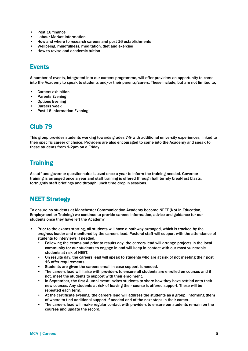- Post 16 finance
- Labour Market Information
- How and where to research careers and post 16 establishments
- Wellbeing, mindfulness, meditation, diet and exercise
- How to revise and academic tuition

# Events

A number of events, integrated into our careers programme, will offer providers an opportunity to come into the Academy to speak to students and/or their parents/carers. These include, but are not limited to;

- Careers exhibition
- Parents Evening
- Options Evening
- Careers week
- Post 16 Information Evening

# Club 79

This group provides students working towards grades 7-9 with additional university experiences, linked to their specific career of choice. Providers are also encouraged to come into the Academy and speak to these students from 1-2pm on a Friday.

# **Training**

A staff and governor questionnaire is used once a year to inform the training needed. Governor training is arranged once a year and staff training is offered through half termly breakfast blasts, fortnightly staff briefings and through lunch time drop in sessions.

# NEET Strategy

To ensure no students at Manchester Communication Academy become NEET (Not in Education, Employment or Training) we continue to provide careers information, advice and guidance for our students once they have left the Academy

- Prior to the exams starting, all students will have a pathway arranged, which is tracked by the progress leader and monitored by the careers lead. Pastoral staff will support with the attendance of students to interviews if needed.
	- Following the exams and prior to results day, the careers lead will arrange projects in the local community for our students to engage in and will keep in contact with our most vulnerable students at risk of NEET.
	- On results day, the careers lead will speak to students who are at risk of not meeting their post 16 offer requirements.
	- Students are given the careers email in case support is needed.
	- The careers lead will liaise with providers to ensure all students are enrolled on courses and if not, meet the students to support with their enrolment.
	- In September, the first Alumni event invites students to share how they have settled onto their new courses. Any students at risk of leaving their course is offered support. These will be repeated each term.
	- At the certificate evening, the careers lead will address the students as a group, informing them of where to find additional support if needed and of the next steps in their career.
	- The careers lead will make regular contact with providers to ensure our students remain on the courses and update the record.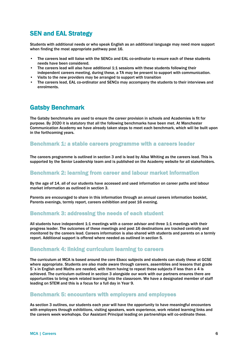# SEN and EAL Strategy

Students with additional needs or who speak English as an additional language may need more support when finding the most appropriate pathway post 16.

- The careers lead will liaise with the SENCo and EAL co-ordinator to ensure each of these students needs have been considered.
- The careers lead will also have additional 1:1 sessions with these students following their independent careers meeting, during these, a TA may be present to support with communication.
- Visits to the new providers may be arranged to support with transition
- The careers lead, EAL co-ordinator and SENCo may accompany the students to their interviews and enrolments.

# Gatsby Benchmark

The Gatsby benchmarks are used to ensure the career provision in schools and Academies is fit for purpose. By 2020 it is statutory that all the following benchmarks have been met. At Manchester Communication Academy we have already taken steps to meet each benchmark, which will be built upon in the forthcoming years.

#### Benchmark 1: a stable careers programme with a careers leader

The careers programme is outlined in section 3 and is lead by Ailsa Whiting as the careers lead. This is supported by the Senior Leadership team and is published on the Academy website for all stakeholders.

#### Benchmark 2: learning from career and labour market information

By the age of 14, all of our students have accessed and used information on career paths and labour market information as outlined in section 3.

Parents are encouraged to share in this information through an annual careers information booklet, Parents evenings, termly report, careers exhibition and post 16 evening.

#### Benchmark 3: addressing the needs of each student

All students have independent 1:1 meetings with a career advisor and three 1:1 meetings with their progress leader. The outcomes of these meetings and post 16 destinations are tracked centrally and monitored by the careers lead. Careers information is also shared with students and parents on a termly report. Additional support is offered where needed as outlined in section 5.

#### Benchmark 4: linking curriculum learning to careers

The curriculum at MCA is based around the core Ebacc subjects and students can study these at GCSE where appropriate. Students are also made aware through careers, assemblies and lessons that grade 5`s in English and Maths are needed, with them having to repeat these subjects if less than a 4 is achieved. The curriculum outlined in section 3 alongside our work with our partners ensures there are opportunities to bring work related learning into the classroom. We have a designated member of staff leading on STEM and this is a focus for a full day in Year 9.

#### Benchmark 5: encounters with employers and employees

As section 3 outlines, our students each year will have the opportunity to have meaningful encounters with employers through exhibitions, visiting speakers, work experience, work related learning links and the careers week workshops. Our Assistant Principal leading on partnerships will co-ordinate these.